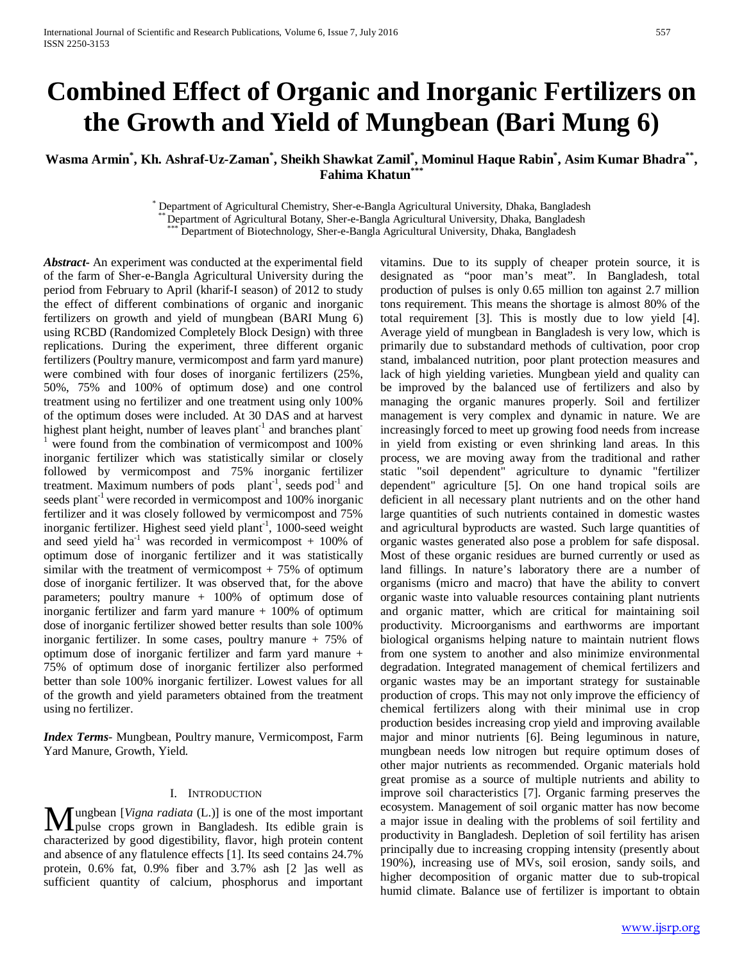# **Combined Effect of Organic and Inorganic Fertilizers on the Growth and Yield of Mungbean (Bari Mung 6)**

# **Wasma Armin\* , Kh. Ashraf-Uz-Zaman\* , Sheikh Shawkat Zamil\* , Mominul Haque Rabin\* , Asim Kumar Bhadra\*\*, Fahima Khatun\*\*\***

Department of Agricultural Chemistry, Sher-e-Bangla Agricultural University, Dhaka, Bangladesh<br>\*\* Department of Agricultural Botany, Sher-e-Bangla Agricultural University, Dhaka, Bangladesh<br>\*\*\* Department of Biotechnology,

*Abstract***-** An experiment was conducted at the experimental field of the farm of Sher-e-Bangla Agricultural University during the period from February to April (kharif-I season) of 2012 to study the effect of different combinations of organic and inorganic fertilizers on growth and yield of mungbean (BARI Mung 6) using RCBD (Randomized Completely Block Design) with three replications. During the experiment, three different organic fertilizers (Poultry manure, vermicompost and farm yard manure) were combined with four doses of inorganic fertilizers (25%, 50%, 75% and 100% of optimum dose) and one control treatment using no fertilizer and one treatment using only 100% of the optimum doses were included. At 30 DAS and at harvest highest plant height, number of leaves plant<sup>-1</sup> and branches plant<sup>-1</sup>  $1$  were found from the combination of vermicompost and 100% inorganic fertilizer which was statistically similar or closely followed by vermicompost and 75% inorganic fertilizer treatment. Maximum numbers of pods  $plant^{-1}$ , seeds pod<sup>-1</sup> and seeds plant<sup>-1</sup> were recorded in vermicompost and 100% inorganic fertilizer and it was closely followed by vermicompost and 75% inorganic fertilizer. Highest seed yield plant<sup>-1</sup>, 1000-seed weight and seed yield  $ha^{-1}$  was recorded in vermicompost + 100% of optimum dose of inorganic fertilizer and it was statistically similar with the treatment of vermicompost  $+ 75\%$  of optimum dose of inorganic fertilizer. It was observed that, for the above parameters; poultry manure + 100% of optimum dose of inorganic fertilizer and farm yard manure  $+100\%$  of optimum dose of inorganic fertilizer showed better results than sole 100% inorganic fertilizer. In some cases, poultry manure + 75% of optimum dose of inorganic fertilizer and farm yard manure + 75% of optimum dose of inorganic fertilizer also performed better than sole 100% inorganic fertilizer. Lowest values for all of the growth and yield parameters obtained from the treatment using no fertilizer.

*Index Terms*- Mungbean, Poultry manure, Vermicompost, Farm Yard Manure, Growth, Yield.

## I. INTRODUCTION

ungbean [*Vigna radiata* (L.)] is one of the most important **M**ungbean [*Vigna radiata* (L.)] is one of the most important pulse crops grown in Bangladesh. Its edible grain is absorptional by grad directivities, flavor high grating content characterized by good digestibility, flavor, high protein content and absence of any flatulence effects [1]. Its seed contains 24.7% protein, 0.6% fat, 0.9% fiber and 3.7% ash [2 ]as well as sufficient quantity of calcium, phosphorus and important

vitamins. Due to its supply of cheaper protein source, it is designated as "poor man's meat". In Bangladesh, total production of pulses is only 0.65 million ton against 2.7 million tons requirement. This means the shortage is almost 80% of the total requirement [3]. This is mostly due to low yield [4]. Average yield of mungbean in Bangladesh is very low, which is primarily due to substandard methods of cultivation, poor crop stand, imbalanced nutrition, poor plant protection measures and lack of high yielding varieties. Mungbean yield and quality can be improved by the balanced use of fertilizers and also by managing the organic manures properly. Soil and fertilizer management is very complex and dynamic in nature. We are increasingly forced to meet up growing food needs from increase in yield from existing or even shrinking land areas. In this process, we are moving away from the traditional and rather static "soil dependent" agriculture to dynamic "fertilizer dependent" agriculture [5]. On one hand tropical soils are deficient in all necessary plant nutrients and on the other hand large quantities of such nutrients contained in domestic wastes and agricultural byproducts are wasted. Such large quantities of organic wastes generated also pose a problem for safe disposal. Most of these organic residues are burned currently or used as land fillings. In nature's laboratory there are a number of organisms (micro and macro) that have the ability to convert organic waste into valuable resources containing plant nutrients and organic matter, which are critical for maintaining soil productivity. Microorganisms and earthworms are important biological organisms helping nature to maintain nutrient flows from one system to another and also minimize environmental degradation. Integrated management of chemical fertilizers and organic wastes may be an important strategy for sustainable production of crops. This may not only improve the efficiency of chemical fertilizers along with their minimal use in crop production besides increasing crop yield and improving available major and minor nutrients [6]. Being leguminous in nature, mungbean needs low nitrogen but require optimum doses of other major nutrients as recommended. Organic materials hold great promise as a source of multiple nutrients and ability to improve soil characteristics [7]. Organic farming preserves the ecosystem. Management of soil organic matter has now become a major issue in dealing with the problems of soil fertility and productivity in Bangladesh. Depletion of soil fertility has arisen principally due to increasing cropping intensity (presently about 190%), increasing use of MVs, soil erosion, sandy soils, and higher decomposition of organic matter due to sub-tropical humid climate. Balance use of fertilizer is important to obtain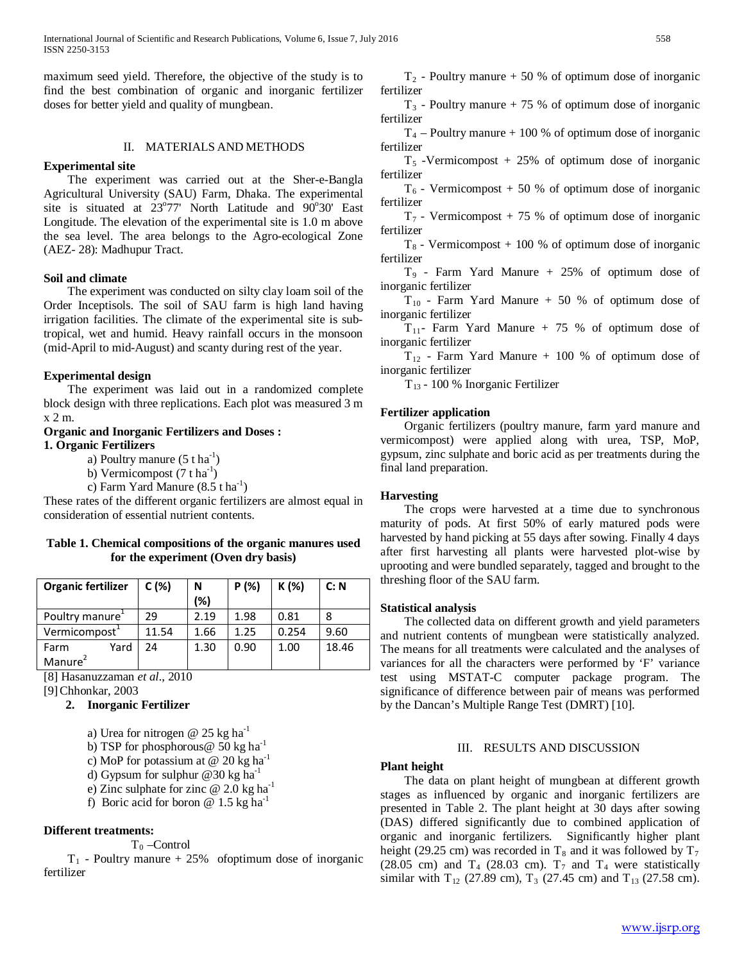maximum seed yield. Therefore, the objective of the study is to find the best combination of organic and inorganic fertilizer doses for better yield and quality of mungbean.

## II. MATERIALS AND METHODS

## **Experimental site**

 The experiment was carried out at the Sher-e-Bangla Agricultural University (SAU) Farm, Dhaka. The experimental site is situated at  $23^{\circ}77'$  North Latitude and  $90^{\circ}30'$  East Longitude. The elevation of the experimental site is 1.0 m above the sea level. The area belongs to the Agro-ecological Zone (AEZ- 28): Madhupur Tract.

### **Soil and climate**

 The experiment was conducted on silty clay loam soil of the Order Inceptisols. The soil of SAU farm is high land having irrigation facilities. The climate of the experimental site is subtropical, wet and humid. Heavy rainfall occurs in the monsoon (mid-April to mid-August) and scanty during rest of the year.

## **Experimental design**

 The experiment was laid out in a randomized complete block design with three replications. Each plot was measured 3 m x 2 m.

## **Organic and Inorganic Fertilizers and Doses : 1. Organic Fertilizers**

a) Poultry manure  $(5 \t{ t} \text{ ha}^{-1})$ 

- b) Vermicompost  $(7 \text{ t ha}^{-1})$
- c) Farm Yard Manure (8.5 t ha<sup>-1</sup>)

These rates of the different organic fertilizers are almost equal in consideration of essential nutrient contents.

## **Table 1. Chemical compositions of the organic manures used for the experiment (Oven dry basis)**

| Organic fertilizer          |      | C(%)  | N    | P(%) | K (%) | C: N  |
|-----------------------------|------|-------|------|------|-------|-------|
|                             |      |       | (%)  |      |       |       |
| Poultry manure <sup>+</sup> |      | 29    | 2.19 | 1.98 | 0.81  |       |
| Vermicompost <sup>1</sup>   |      | 11.54 | 1.66 | 1.25 | 0.254 | 9.60  |
| Farm                        | Yard | 24    | 1.30 | 0.90 | 1.00  | 18.46 |
| Manure <sup>2</sup>         |      |       |      |      |       |       |

[8] Hasanuzzaman *et al*., 2010

[9]Chhonkar, 2003

## **2. Inorganic Fertilizer**

- a) Urea for nitrogen @ 25 kg ha<sup>-1</sup>
- b) TSP for phosphorous  $\omega$  50 kg ha<sup>-1</sup>
- c) MoP for potassium at  $@$  20 kg ha<sup>-1</sup>
- d) Gypsum for sulphur @30 kg ha<sup>-1</sup>
- e) Zinc sulphate for zinc  $@ 2.0 \text{ kg ha}^{-1}$
- f) Boric acid for boron @  $1.5 \text{ kg ha}^{-1}$

## **Different treatments:**

 $T_0$  –Control

 $T_1$  - Poultry manure + 25% of optimum dose of inorganic fertilizer

 $T_2$  - Poultry manure  $+50$  % of optimum dose of inorganic fertilizer

 $T_3$  - Poultry manure + 75 % of optimum dose of inorganic fertilizer

 $T_4$  – Poultry manure + 100 % of optimum dose of inorganic fertilizer

 $T<sub>5</sub>$  -Vermicompost + 25% of optimum dose of inorganic fertilizer

 $T<sub>6</sub>$  - Vermicompost + 50 % of optimum dose of inorganic fertilizer

 $T_7$  - Vermicompost + 75 % of optimum dose of inorganic fertilizer

 $T_8$  - Vermicompost + 100 % of optimum dose of inorganic fertilizer

 $T_9$  - Farm Yard Manure + 25% of optimum dose of inorganic fertilizer

 $T_{10}$  - Farm Yard Manure + 50 % of optimum dose of inorganic fertilizer

 $T_{11}$ - Farm Yard Manure + 75 % of optimum dose of inorganic fertilizer

 $T_{12}$  - Farm Yard Manure + 100 % of optimum dose of inorganic fertilizer

T13 - 100 % Inorganic Fertilizer

## **Fertilizer application**

 Organic fertilizers (poultry manure, farm yard manure and vermicompost) were applied along with urea, TSP, MoP, gypsum, zinc sulphate and boric acid as per treatments during the final land preparation.

### **Harvesting**

 The crops were harvested at a time due to synchronous maturity of pods. At first 50% of early matured pods were harvested by hand picking at 55 days after sowing. Finally 4 days after first harvesting all plants were harvested plot-wise by uprooting and were bundled separately, tagged and brought to the threshing floor of the SAU farm.

## **Statistical analysis**

 The collected data on different growth and yield parameters and nutrient contents of mungbean were statistically analyzed. The means for all treatments were calculated and the analyses of variances for all the characters were performed by 'F' variance test using MSTAT-C computer package program. The significance of difference between pair of means was performed by the Dancan's Multiple Range Test (DMRT) [10].

## III. RESULTS AND DISCUSSION

### **Plant height**

 The data on plant height of mungbean at different growth stages as influenced by organic and inorganic fertilizers are presented in Table 2. The plant height at 30 days after sowing (DAS) differed significantly due to combined application of organic and inorganic fertilizers. Significantly higher plant height (29.25 cm) was recorded in  $T_8$  and it was followed by  $T_7$ (28.05 cm) and  $T_4$  (28.03 cm).  $T_7$  and  $T_4$  were statistically similar with  $T_{12}$  (27.89 cm),  $T_3$  (27.45 cm) and  $T_{13}$  (27.58 cm).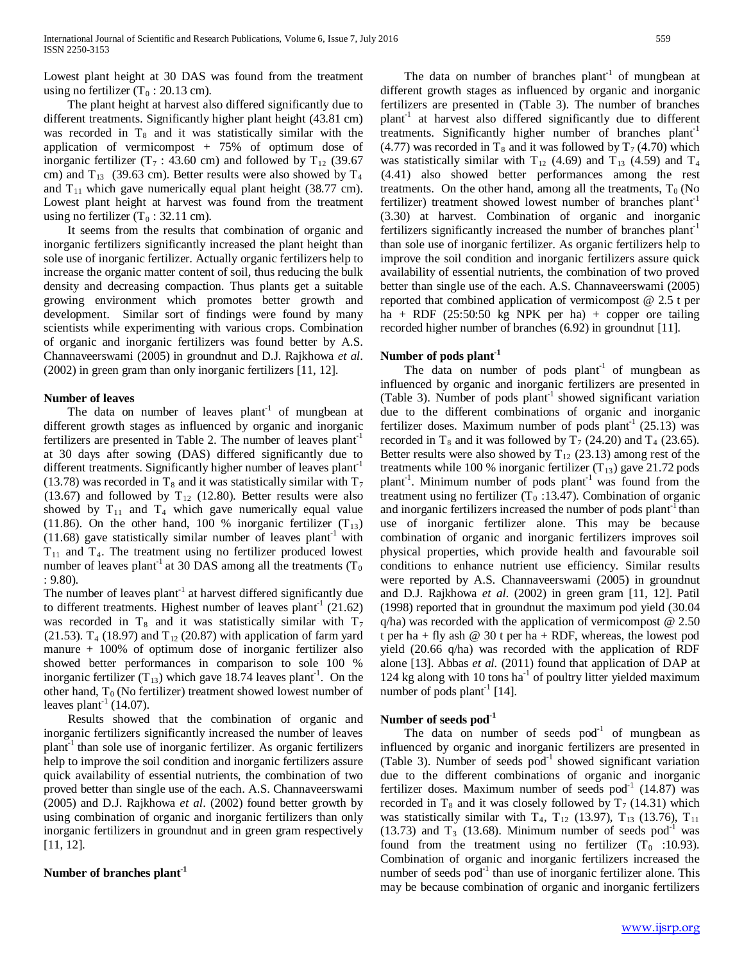Lowest plant height at 30 DAS was found from the treatment using no fertilizer  $(T_0: 20.13$  cm).

 The plant height at harvest also differed significantly due to different treatments. Significantly higher plant height (43.81 cm) was recorded in  $T_8$  and it was statistically similar with the application of vermicompost  $+ 75\%$  of optimum dose of inorganic fertilizer (T<sub>7</sub>: 43.60 cm) and followed by T<sub>12</sub> (39.67 cm) and  $T_{13}$  (39.63 cm). Better results were also showed by  $T_4$ and  $T_{11}$  which gave numerically equal plant height (38.77 cm). Lowest plant height at harvest was found from the treatment using no fertilizer  $(T_0 : 32.11$  cm).

 It seems from the results that combination of organic and inorganic fertilizers significantly increased the plant height than sole use of inorganic fertilizer. Actually organic fertilizers help to increase the organic matter content of soil, thus reducing the bulk density and decreasing compaction. Thus plants get a suitable growing environment which promotes better growth and development. Similar sort of findings were found by many scientists while experimenting with various crops. Combination of organic and inorganic fertilizers was found better by A.S. Channaveerswami (2005) in groundnut and D.J. Rajkhowa *et al*. (2002) in green gram than only inorganic fertilizers [11, 12].

## **Number of leaves**

The data on number of leaves  $plant<sup>-1</sup>$  of mungbean at different growth stages as influenced by organic and inorganic fertilizers are presented in Table 2. The number of leaves  $plant^{-1}$ at 30 days after sowing (DAS) differed significantly due to different treatments. Significantly higher number of leaves plant<sup>-1</sup> (13.78) was recorded in T<sub>8</sub> and it was statistically similar with  $T_7$ (13.67) and followed by  $T_{12}$  (12.80). Better results were also showed by  $T_{11}$  and  $T_4$  which gave numerically equal value (11.86). On the other hand, 100 % inorganic fertilizer  $(T_{13})$  $(11.68)$  gave statistically similar number of leaves plant<sup>-1</sup> with  $T_{11}$  and  $T_4$ . The treatment using no fertilizer produced lowest number of leaves plant<sup>-1</sup> at 30 DAS among all the treatments ( $T_0$ ) : 9.80).

The number of leaves plant<sup>-1</sup> at harvest differed significantly due to different treatments. Highest number of leaves plant<sup>-1</sup>  $(21.62)$ was recorded in  $T_8$  and it was statistically similar with  $T_7$ (21.53).  $T_4$  (18.97) and  $T_{12}$  (20.87) with application of farm yard manure + 100% of optimum dose of inorganic fertilizer also showed better performances in comparison to sole 100 % inorganic fertilizer  $(T_{13})$  which gave 18.74 leaves plant<sup>-1</sup>. On the other hand,  $T_0$  (No fertilizer) treatment showed lowest number of leaves plant<sup>-1</sup> (14.07).

 Results showed that the combination of organic and inorganic fertilizers significantly increased the number of leaves plant-1 than sole use of inorganic fertilizer. As organic fertilizers help to improve the soil condition and inorganic fertilizers assure quick availability of essential nutrients, the combination of two proved better than single use of the each. A.S. Channaveerswami (2005) and D.J. Rajkhowa *et al*. (2002) found better growth by using combination of organic and inorganic fertilizers than only inorganic fertilizers in groundnut and in green gram respectively [11, 12].

## **Number of branches plant-1**

The data on number of branches plant<sup>-1</sup> of mungbean at different growth stages as influenced by organic and inorganic fertilizers are presented in (Table 3). The number of branches plant<sup>-1</sup> at harvest also differed significantly due to different treatments. Significantly higher number of branches plant<sup>-1</sup> (4.77) was recorded in T<sub>8</sub> and it was followed by  $T_7$  (4.70) which was statistically similar with  $T_{12}$  (4.69) and  $T_{13}$  (4.59) and  $T_4$ (4.41) also showed better performances among the rest treatments. On the other hand, among all the treatments,  $T_0$  (No fertilizer) treatment showed lowest number of branches plant<sup>-1</sup> (3.30) at harvest. Combination of organic and inorganic

fertilizers significantly increased the number of branches plant<sup>-1</sup> than sole use of inorganic fertilizer. As organic fertilizers help to improve the soil condition and inorganic fertilizers assure quick availability of essential nutrients, the combination of two proved better than single use of the each. A.S. Channaveerswami (2005) reported that combined application of vermicompost @ 2.5 t per ha + RDF (25:50:50 kg NPK per ha) + copper ore tailing recorded higher number of branches (6.92) in groundnut [11].

## **Number of pods plant-1**

The data on number of pods  $plant^{-1}$  of mungbean as influenced by organic and inorganic fertilizers are presented in (Table 3). Number of pods  $plant^{-1}$  showed significant variation due to the different combinations of organic and inorganic fertilizer doses. Maximum number of pods plant<sup>-1</sup> (25.13) was recorded in T<sub>8</sub> and it was followed by T<sub>7</sub> (24.20) and T<sub>4</sub> (23.65). Better results were also showed by  $T_{12}$  (23.13) among rest of the treatments while 100 % inorganic fertilizer  $(T_{13})$  gave 21.72 pods plant<sup>-1</sup>. Minimum number of pods plant<sup>-1</sup> was found from the treatment using no fertilizer  $(T_0:13.47)$ . Combination of organic and inorganic fertilizers increased the number of pods plant<sup>-1</sup> than use of inorganic fertilizer alone. This may be because combination of organic and inorganic fertilizers improves soil physical properties, which provide health and favourable soil conditions to enhance nutrient use efficiency. Similar results were reported by A.S. Channaveerswami (2005) in groundnut and D.J. Rajkhowa *et al*. (2002) in green gram [11, 12]. Patil (1998) reported that in groundnut the maximum pod yield (30.04  $q/ha$ ) was recorded with the application of vermicompost  $@ 2.50$ t per ha + fly ash  $@$  30 t per ha + RDF, whereas, the lowest pod yield (20.66 q/ha) was recorded with the application of RDF alone [13]. Abbas *et al.* (2011) found that application of DAP at 124 kg along with 10 tons ha<sup>-1</sup> of poultry litter yielded maximum number of pods plant<sup>-1</sup> [14].

## **Number of seeds pod-1**

The data on number of seeds  $pod^{-1}$  of mungbean as influenced by organic and inorganic fertilizers are presented in (Table 3). Number of seeds  $pod^{-1}$  showed significant variation due to the different combinations of organic and inorganic fertilizer doses. Maximum number of seeds pod $^{-1}$  (14.87) was recorded in  $T_8$  and it was closely followed by  $T_7$  (14.31) which was statistically similar with  $T_4$ ,  $T_{12}$  (13.97),  $T_{13}$  (13.76),  $T_{11}$ (13.73) and  $T_3$  (13.68). Minimum number of seeds pod<sup>-1</sup> was found from the treatment using no fertilizer  $(T_0$  :10.93). Combination of organic and inorganic fertilizers increased the number of seeds  $pod^{-1}$  than use of inorganic fertilizer alone. This may be because combination of organic and inorganic fertilizers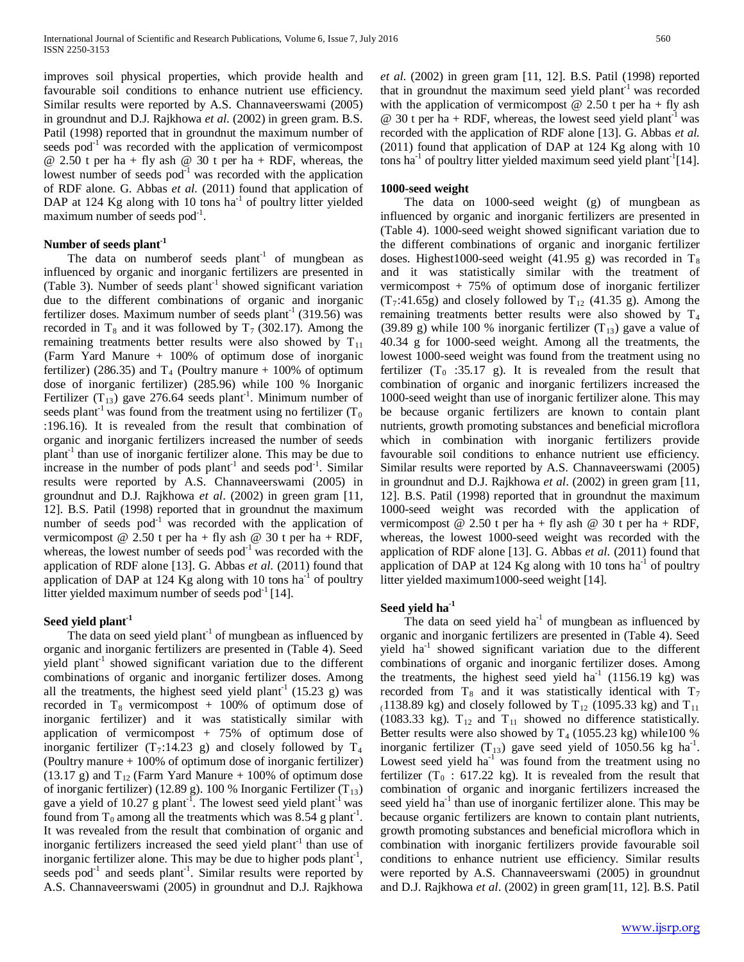improves soil physical properties, which provide health and favourable soil conditions to enhance nutrient use efficiency. Similar results were reported by A.S. Channaveerswami (2005) in groundnut and D.J. Rajkhowa *et al*. (2002) in green gram. B.S. Patil (1998) reported that in groundnut the maximum number of seeds pod<sup>-1</sup> was recorded with the application of vermicompost  $@ 2.50$  t per ha + fly ash  $@ 30$  t per ha + RDF, whereas, the lowest number of seeds  $pod^{-1}$  was recorded with the application of RDF alone. G. Abbas *et al.* (2011) found that application of DAP at 124 Kg along with 10 tons  $ha^{-1}$  of poultry litter yielded maximum number of seeds pod<sup>-1</sup>.

## **Number of seeds plant-1**

The data on numberof seeds  $plant<sup>-1</sup>$  of mungbean as influenced by organic and inorganic fertilizers are presented in (Table 3). Number of seeds  $plant<sup>-1</sup>$  showed significant variation due to the different combinations of organic and inorganic fertilizer doses. Maximum number of seeds plant<sup>-1</sup> (319.56) was recorded in T<sub>8</sub> and it was followed by  $T_7$  (302.17). Among the remaining treatments better results were also showed by  $T_{11}$ (Farm Yard Manure + 100% of optimum dose of inorganic fertilizer) (286.35) and  $T_4$  (Poultry manure + 100% of optimum dose of inorganic fertilizer) (285.96) while 100 % Inorganic Fertilizer  $(T_{13})$  gave 276.64 seeds plant<sup>-1</sup>. Minimum number of seeds plant<sup>-1</sup> was found from the treatment using no fertilizer  $(T_0)$ :196.16). It is revealed from the result that combination of organic and inorganic fertilizers increased the number of seeds  $plant<sup>-1</sup>$  than use of inorganic fertilizer alone. This may be due to increase in the number of pods plant<sup>-1</sup> and seeds pod<sup>-1</sup>. Similar results were reported by A.S. Channaveerswami (2005) in groundnut and D.J. Rajkhowa *et al*. (2002) in green gram [11, 12]. B.S. Patil (1998) reported that in groundnut the maximum number of seeds  $pod^{-1}$  was recorded with the application of vermicompost @ 2.50 t per ha + fly ash @ 30 t per ha + RDF, whereas, the lowest number of seeds  $pod^{-1}$  was recorded with the application of RDF alone [13]. G. Abbas *et al.* (2011) found that application of DAP at 124 Kg along with 10 tons  $ha^{-1}$  of poultry litter yielded maximum number of seeds  $pod^{-1}$  [14].

## **Seed yield plant-1**

The data on seed yield plant<sup>-1</sup> of mungbean as influenced by organic and inorganic fertilizers are presented in (Table 4). Seed yield plant<sup>-1</sup> showed significant variation due to the different combinations of organic and inorganic fertilizer doses. Among all the treatments, the highest seed yield plant<sup>-1</sup> (15.23 g) was recorded in  $T_8$  vermicompost + 100% of optimum dose of inorganic fertilizer) and it was statistically similar with application of vermicompost + 75% of optimum dose of inorganic fertilizer  $(T_7:14.23 \text{ g})$  and closely followed by  $T_4$ (Poultry manure + 100% of optimum dose of inorganic fertilizer) (13.17 g) and  $T_{12}$  (Farm Yard Manure + 100% of optimum dose of inorganic fertilizer) (12.89 g). 100 % Inorganic Fertilizer (T $_{13}$ ) gave a yield of 10.27 g plant<sup>-1</sup>. The lowest seed yield plant<sup>-1</sup> was found from  $T_0$  among all the treatments which was 8.54 g plant<sup>-1</sup>. It was revealed from the result that combination of organic and inorganic fertilizers increased the seed yield plant<sup>-1</sup> than use of inorganic fertilizer alone. This may be due to higher pods plant<sup>-1</sup>, seeds pod<sup>-1</sup> and seeds plant<sup>-1</sup>. Similar results were reported by A.S. Channaveerswami (2005) in groundnut and D.J. Rajkhowa

*et al*. (2002) in green gram [11, 12]. B.S. Patil (1998) reported that in groundnut the maximum seed yield plant<sup>-1</sup> was recorded with the application of vermicompost  $\omega$  2.50 t per ha + fly ash  $\omega$  30 t per ha + RDF, whereas, the lowest seed yield plant<sup>-1</sup> was recorded with the application of RDF alone [13]. G. Abbas *et al.* (2011) found that application of DAP at 124 Kg along with 10 tons ha<sup>-1</sup> of poultry litter yielded maximum seed yield plant<sup>-1</sup>[14].

## **1000-seed weight**

 The data on 1000-seed weight (g) of mungbean as influenced by organic and inorganic fertilizers are presented in (Table 4). 1000-seed weight showed significant variation due to the different combinations of organic and inorganic fertilizer doses. Highest1000-seed weight (41.95 g) was recorded in  $T_8$ and it was statistically similar with the treatment of vermicompost + 75% of optimum dose of inorganic fertilizer  $(T_7:41.65g)$  and closely followed by  $T_{12}$  (41.35 g). Among the remaining treatments better results were also showed by  $T_4$ (39.89 g) while 100 % inorganic fertilizer  $(T_{13})$  gave a value of 40.34 g for 1000-seed weight. Among all the treatments, the lowest 1000-seed weight was found from the treatment using no fertilizer  $(T_0$  :35.17 g). It is revealed from the result that combination of organic and inorganic fertilizers increased the 1000-seed weight than use of inorganic fertilizer alone. This may be because organic fertilizers are known to contain plant nutrients, growth promoting substances and beneficial microflora which in combination with inorganic fertilizers provide favourable soil conditions to enhance nutrient use efficiency. Similar results were reported by A.S. Channaveerswami (2005) in groundnut and D.J. Rajkhowa *et al*. (2002) in green gram [11, 12]. B.S. Patil (1998) reported that in groundnut the maximum 1000-seed weight was recorded with the application of vermicompost  $@ 2.50$  t per ha + fly ash  $@ 30$  t per ha + RDF, whereas, the lowest 1000-seed weight was recorded with the application of RDF alone [13]. G. Abbas *et al.* (2011) found that application of DAP at 124 Kg along with 10 tons  $ha^{-1}$  of poultry litter yielded maximum1000-seed weight [14].

## **Seed yield ha-1**

The data on seed yield  $ha^{-1}$  of mungbean as influenced by organic and inorganic fertilizers are presented in (Table 4). Seed yield ha<sup>-1</sup> showed significant variation due to the different combinations of organic and inorganic fertilizer doses. Among the treatments, the highest seed yield ha<sup>-1</sup> (1156.19 kg) was recorded from  $T_8$  and it was statistically identical with  $T_7$ (1138.89 kg) and closely followed by  $T_{12}$  (1095.33 kg) and  $T_{11}$ (1083.33 kg).  $T_{12}$  and  $T_{11}$  showed no difference statistically. Better results were also showed by  $T_4$  (1055.23 kg) while100 % inorganic fertilizer  $(T_{13})$  gave seed yield of 1050.56 kg ha<sup>-1</sup>. Lowest seed yield  $ha^{-1}$  was found from the treatment using no fertilizer  $(T_0 : 617.22 \text{ kg})$ . It is revealed from the result that combination of organic and inorganic fertilizers increased the seed yield  $ha^{-1}$  than use of inorganic fertilizer alone. This may be because organic fertilizers are known to contain plant nutrients, growth promoting substances and beneficial microflora which in combination with inorganic fertilizers provide favourable soil conditions to enhance nutrient use efficiency. Similar results were reported by A.S. Channaveerswami (2005) in groundnut and D.J. Rajkhowa *et al*. (2002) in green gram[11, 12]. B.S. Patil